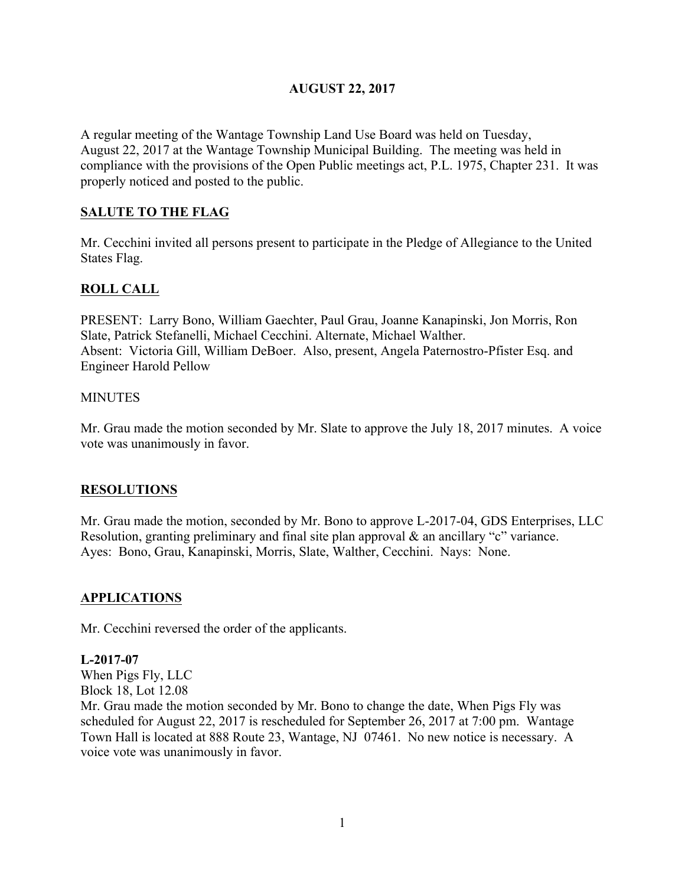# **AUGUST 22, 2017**

A regular meeting of the Wantage Township Land Use Board was held on Tuesday, August 22, 2017 at the Wantage Township Municipal Building. The meeting was held in compliance with the provisions of the Open Public meetings act, P.L. 1975, Chapter 231. It was properly noticed and posted to the public.

# **SALUTE TO THE FLAG**

Mr. Cecchini invited all persons present to participate in the Pledge of Allegiance to the United States Flag.

# **ROLL CALL**

PRESENT: Larry Bono, William Gaechter, Paul Grau, Joanne Kanapinski, Jon Morris, Ron Slate, Patrick Stefanelli, Michael Cecchini. Alternate, Michael Walther. Absent: Victoria Gill, William DeBoer. Also, present, Angela Paternostro-Pfister Esq. and Engineer Harold Pellow

#### **MINUTES**

Mr. Grau made the motion seconded by Mr. Slate to approve the July 18, 2017 minutes. A voice vote was unanimously in favor.

### **RESOLUTIONS**

Mr. Grau made the motion, seconded by Mr. Bono to approve L-2017-04, GDS Enterprises, LLC Resolution, granting preliminary and final site plan approval & an ancillary "c" variance. Ayes: Bono, Grau, Kanapinski, Morris, Slate, Walther, Cecchini. Nays: None.

### **APPLICATIONS**

Mr. Cecchini reversed the order of the applicants.

### **L-2017-07**

When Pigs Fly, LLC Block 18, Lot 12.08

Mr. Grau made the motion seconded by Mr. Bono to change the date, When Pigs Fly was scheduled for August 22, 2017 is rescheduled for September 26, 2017 at 7:00 pm. Wantage Town Hall is located at 888 Route 23, Wantage, NJ 07461. No new notice is necessary. A voice vote was unanimously in favor.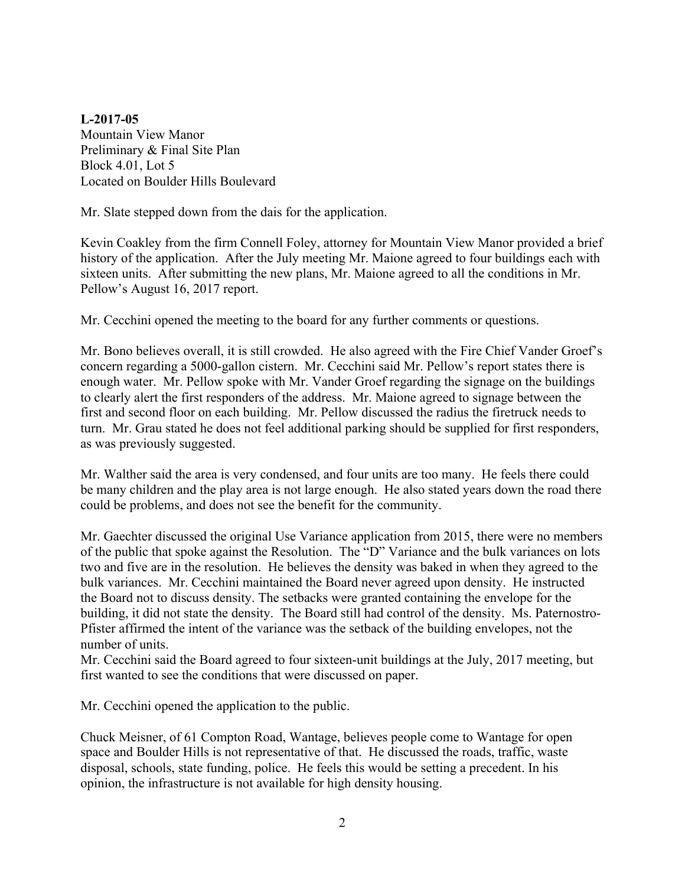**L-2017-05** Mountain View Manor Preliminary & Final Site Plan Block 4.01, Lot 5 Located on Boulder Hills Boulevard

Mr. Slate stepped down from the dais for the application.

Kevin Coakley from the firm Connell Foley, attorney for Mountain View Manor provided a brief history of the application. After the July meeting Mr. Maione agreed to four buildings each with sixteen units. After submitting the new plans, Mr. Maione agreed to all the conditions in Mr. Pellow's August 16, 2017 report.

Mr. Cecchini opened the meeting to the board for any further comments or questions.

Mr. Bono believes overall, it is still crowded. He also agreed with the Fire Chief Vander Groef's concern regarding a 5000-gallon cistern. Mr. Cecchini said Mr. Pellow's report states there is enough water. Mr. Pellow spoke with Mr. Vander Groef regarding the signage on the buildings to clearly alert the first responders of the address. Mr. Maione agreed to signage between the first and second floor on each building. Mr. Pellow discussed the radius the firetruck needs to turn. Mr. Grau stated he does not feel additional parking should be supplied for first responders, as was previously suggested.

Mr. Walther said the area is very condensed, and four units are too many. He feels there could be many children and the play area is not large enough. He also stated years down the road there could be problems, and does not see the benefit for the community.

Mr. Gaechter discussed the original Use Variance application from 2015, there were no members of the public that spoke against the Resolution. The "D" Variance and the bulk variances on lots two and five are in the resolution. He believes the density was baked in when they agreed to the bulk variances. Mr. Cecchini maintained the Board never agreed upon density. He instructed the Board not to discuss density. The setbacks were granted containing the envelope for the building, it did not state the density. The Board still had control of the density. Ms. Paternostro-Pfister affirmed the intent of the variance was the setback of the building envelopes, not the number of units.

Mr. Cecchini said the Board agreed to four sixteen-unit buildings at the July, 2017 meeting, but first wanted to see the conditions that were discussed on paper.

Mr. Cecchini opened the application to the public.

Chuck Meisner, of 61 Compton Road, Wantage, believes people come to Wantage for open space and Boulder Hills is not representative of that. He discussed the roads, traffic, waste disposal, schools, state funding, police. He feels this would be setting a precedent. In his opinion, the infrastructure is not available for high density housing.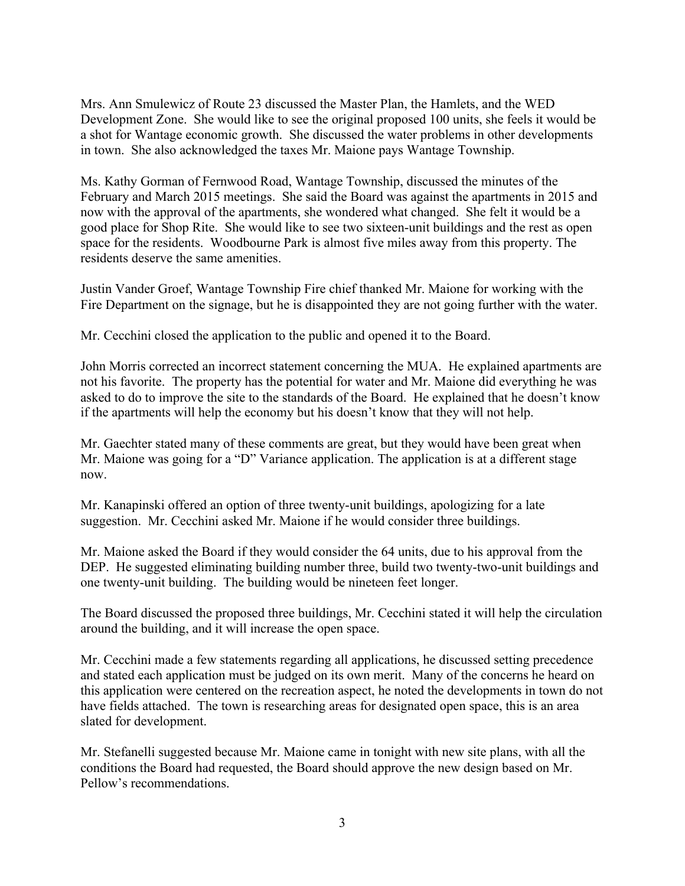Mrs. Ann Smulewicz of Route 23 discussed the Master Plan, the Hamlets, and the WED Development Zone. She would like to see the original proposed 100 units, she feels it would be a shot for Wantage economic growth. She discussed the water problems in other developments in town. She also acknowledged the taxes Mr. Maione pays Wantage Township.

Ms. Kathy Gorman of Fernwood Road, Wantage Township, discussed the minutes of the February and March 2015 meetings. She said the Board was against the apartments in 2015 and now with the approval of the apartments, she wondered what changed. She felt it would be a good place for Shop Rite. She would like to see two sixteen-unit buildings and the rest as open space for the residents. Woodbourne Park is almost five miles away from this property. The residents deserve the same amenities.

Justin Vander Groef, Wantage Township Fire chief thanked Mr. Maione for working with the Fire Department on the signage, but he is disappointed they are not going further with the water.

Mr. Cecchini closed the application to the public and opened it to the Board.

John Morris corrected an incorrect statement concerning the MUA. He explained apartments are not his favorite. The property has the potential for water and Mr. Maione did everything he was asked to do to improve the site to the standards of the Board. He explained that he doesn't know if the apartments will help the economy but his doesn't know that they will not help.

Mr. Gaechter stated many of these comments are great, but they would have been great when Mr. Maione was going for a "D" Variance application. The application is at a different stage now.

Mr. Kanapinski offered an option of three twenty-unit buildings, apologizing for a late suggestion. Mr. Cecchini asked Mr. Maione if he would consider three buildings.

Mr. Maione asked the Board if they would consider the 64 units, due to his approval from the DEP. He suggested eliminating building number three, build two twenty-two-unit buildings and one twenty-unit building. The building would be nineteen feet longer.

The Board discussed the proposed three buildings, Mr. Cecchini stated it will help the circulation around the building, and it will increase the open space.

Mr. Cecchini made a few statements regarding all applications, he discussed setting precedence and stated each application must be judged on its own merit. Many of the concerns he heard on this application were centered on the recreation aspect, he noted the developments in town do not have fields attached. The town is researching areas for designated open space, this is an area slated for development.

Mr. Stefanelli suggested because Mr. Maione came in tonight with new site plans, with all the conditions the Board had requested, the Board should approve the new design based on Mr. Pellow's recommendations.